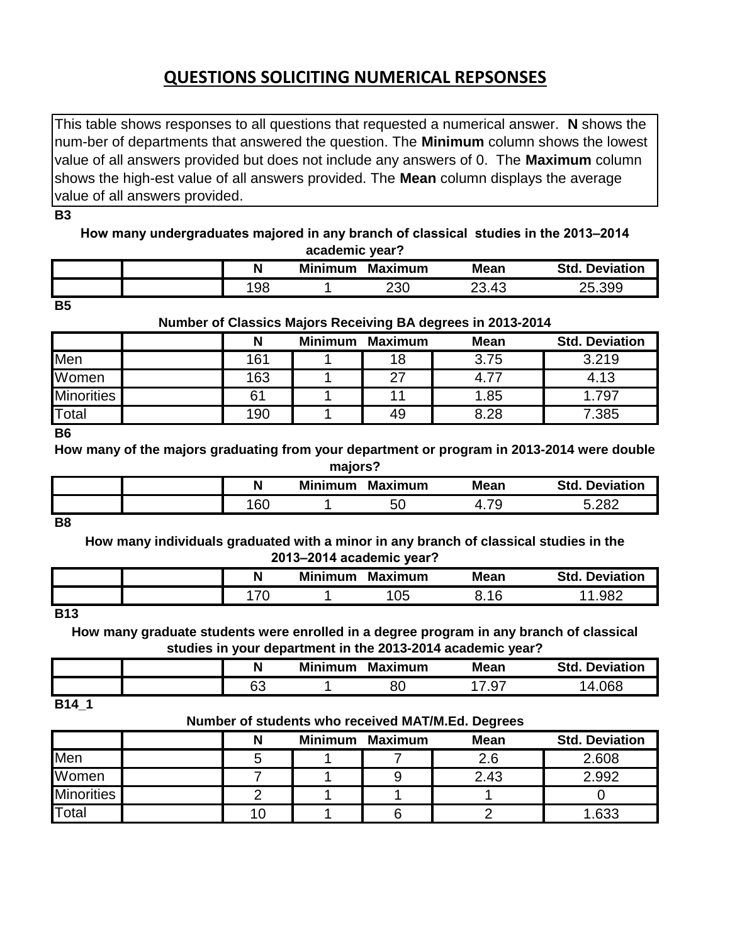# **QUESTIONS SOLICITING NUMERICAL REPSONSES**

This table shows responses to all questions that requested a numerical answer. **N** shows the num-ber of departments that answered the question. The **Minimum** column shows the lowest value of all answers provided but does not include any answers of 0. The **Maximum** column shows the high-est value of all answers provided. The **Mean** column displays the average value of all answers provided.

**B3**

**How many undergraduates majored in any branch of classical studies in the 2013–2014 academic year?**

|  |    | <b>Minimum</b> | <b>Maximum</b> | <b>Mean</b> | <b>Std</b><br><b>Deviation</b> |
|--|----|----------------|----------------|-------------|--------------------------------|
|  | 98 |                | 230            | 23.43       | .399<br>25.                    |

**B5**

# **Number of Classics Majors Receiving BA degrees in 2013-2014**

|                   |     | <b>Minimum</b> | <b>Maximum</b> | <b>Mean</b> | <b>Std. Deviation</b> |
|-------------------|-----|----------------|----------------|-------------|-----------------------|
| Men               | 161 |                | 18             | 3.75        | 3.219                 |
| Women             | 163 |                | つつ             | 4.77        | 4.13                  |
| <b>Minorities</b> |     |                | л              | 1.85        | .797                  |
| <b>T</b> otal     | 190 |                | 49             | 8.28        | 7.385                 |

**B6**

**How many of the majors graduating from your department or program in 2013-2014 were double majors?**

| --------- |           |                |                |                      |                          |  |  |  |
|-----------|-----------|----------------|----------------|----------------------|--------------------------|--|--|--|
|           |           | <b>Minimum</b> | <b>Maximum</b> | <b>Mean</b>          | <b>Deviation</b><br>Std. |  |  |  |
|           | .cr<br>טט |                | <b>50</b>      | --<br><sup>4.,</sup> | רסר ב                    |  |  |  |

**B8**

**How many individuals graduated with a minor in any branch of classical studies in the 2013–2014 academic year?**

|                                                                                            | N             | <b>Minimum</b> | <b>Maximum</b> | <b>Mean</b> | Std.<br><b>Deviation</b> |
|--------------------------------------------------------------------------------------------|---------------|----------------|----------------|-------------|--------------------------|
|                                                                                            | $\rightarrow$ |                | 05             | 1 Q         | 982                      |
| the property of the control of the control of the control of the control of the control of |               |                |                |             |                          |

**B13**

**How many graduate students were enrolled in a degree program in any branch of classical studies in your department in the 2013-2014 academic year?**

|       | N | <b>Minimum</b> | <b>Maximum</b> | <b>Mean</b> | <b>Deviation</b><br><b>Std</b> |
|-------|---|----------------|----------------|-------------|--------------------------------|
|       | c |                | o٢<br>ou       | ו ש.        | ngg                            |
| - - - |   |                |                |             |                                |

**B14\_1**

#### **Number of students who received MAT/M.Ed. Degrees**

|                   |  |                |                | -           |                       |
|-------------------|--|----------------|----------------|-------------|-----------------------|
|                   |  | <b>Minimum</b> | <b>Maximum</b> | <b>Mean</b> | <b>Std. Deviation</b> |
| Men               |  |                |                | 2.6         | 2.608                 |
| Women             |  |                |                | 2.43        | 2.992                 |
| <b>Minorities</b> |  |                |                |             |                       |
| Total             |  |                |                |             | .633                  |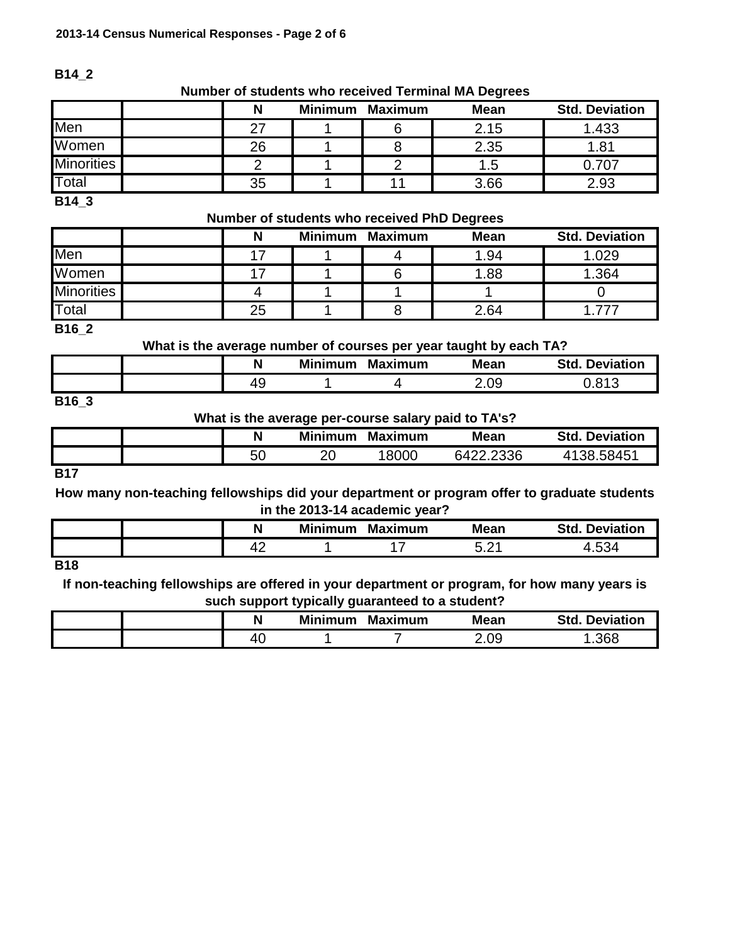# **B14\_2**

#### **Number of students who received Terminal MA Degrees**

|                   |    | <b>Minimum</b> | Maximum | <b>Mean</b> | <b>Std. Deviation</b> |
|-------------------|----|----------------|---------|-------------|-----------------------|
| Men               |    |                |         | 2.15        | 1.433                 |
| Women             | 26 |                |         | 2.35        | 81. ا                 |
| <b>Minorities</b> |    |                |         | 5. ا        |                       |
| Total             | 35 |                |         | 3.66        | 2.93                  |

**B14\_3**

#### **Number of students who received PhD Degrees**

|                   |    | <b>Minimum</b> | <b>Maximum</b> | <b>Mean</b> | <b>Std. Deviation</b> |
|-------------------|----|----------------|----------------|-------------|-----------------------|
| Men               |    |                |                | 1.94        | 1.029                 |
| Women             |    |                |                | .88         | 1.364                 |
| <b>Minorities</b> |    |                |                |             |                       |
| Total             | 25 |                |                | 2.64        |                       |

**B16\_2**

**What is the average number of courses per year taught by each TA?**

|          | N       | <b>Minimum</b> | <b>Maximum</b> | . .<br><b>Mean</b> | <b>Std</b><br><b>Deviation</b> |
|----------|---------|----------------|----------------|--------------------|--------------------------------|
|          | л<br>r. |                |                | .09                | - റ 4 റ                        |
| __ _ _ _ |         |                |                |                    |                                |

**B16\_3**

#### **What is the average per-course salary paid to TA's?**

|    | <b>Minimum</b> | <b>Maximum</b> | <b>Mean</b> | <b>Std. Deviation</b> |
|----|----------------|----------------|-------------|-----------------------|
| 50 | ∩∩<br>∠∪       | 18000          | 6422.2336   | 4138.58451            |
|    |                |                |             |                       |

**B17**

**How many non-teaching fellowships did your department or program offer to graduate students in the 2013-14 academic year?**

|                                                                                            | N  | <b>Minimum</b> | <b>Maximum</b> | <b>Mean</b>   | <b>Std</b><br>eviation<br>нчи |
|--------------------------------------------------------------------------------------------|----|----------------|----------------|---------------|-------------------------------|
|                                                                                            | т. |                |                | $\sim$<br>U.L | 34<br>. .                     |
| the property of the control of the control of the control of the control of the control of |    |                |                |               |                               |

**B18**

**If non-teaching fellowships are offered in your department or program, for how many years is such support typically guaranteed to a student?**

|  | N | Minimum | <b>Maximum</b> | <b>Mean</b> | <b>Deviation</b><br>Std. |
|--|---|---------|----------------|-------------|--------------------------|
|  | 4 |         |                | 2.09        | .368                     |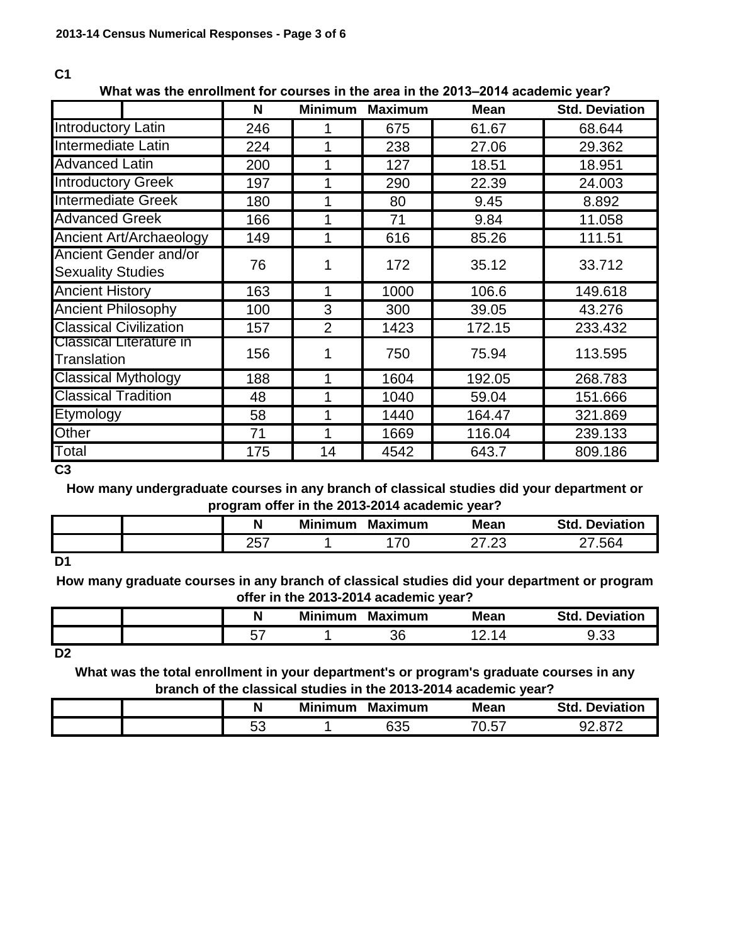#### **C1**

# **What was the enrollment for courses in the area in the 2013–2014 academic year?**

|                                                   | N   | <b>Minimum</b> | <b>Maximum</b> | <b>Mean</b> | <b>Std. Deviation</b> |
|---------------------------------------------------|-----|----------------|----------------|-------------|-----------------------|
| <b>Introductory Latin</b>                         | 246 |                | 675            | 61.67       | 68.644                |
| <b>Intermediate Latin</b>                         | 224 |                | 238            | 27.06       | 29.362                |
| <b>Advanced Latin</b>                             | 200 |                | 127            | 18.51       | 18.951                |
| <b>Introductory Greek</b>                         | 197 |                | 290            | 22.39       | 24.003                |
| <b>Intermediate Greek</b>                         | 180 |                | 80             | 9.45        | 8.892                 |
| <b>Advanced Greek</b>                             | 166 |                | 71             | 9.84        | 11.058                |
| Ancient Art/Archaeology                           | 149 |                | 616            | 85.26       | 111.51                |
| Ancient Gender and/or<br><b>Sexuality Studies</b> | 76  |                | 172            | 35.12       | 33.712                |
| <b>Ancient History</b>                            | 163 |                | 1000           | 106.6       | 149.618               |
| <b>Ancient Philosophy</b>                         | 100 | 3              | 300            | 39.05       | 43.276                |
| <b>Classical Civilization</b>                     | 157 | $\overline{2}$ | 1423           | 172.15      | 233.432               |
| Classical Literature in<br><b>Translation</b>     | 156 |                | 750            | 75.94       | 113.595               |
| <b>Classical Mythology</b>                        | 188 |                | 1604           | 192.05      | 268.783               |
| <b>Classical Tradition</b>                        | 48  |                | 1040           | 59.04       | 151.666               |
| Etymology                                         | 58  |                | 1440           | 164.47      | 321.869               |
| Other                                             | 71  |                | 1669           | 116.04      | 239.133               |
| Total                                             | 175 | 14             | 4542           | 643.7       | 809.186               |

**C3**

**How many undergraduate courses in any branch of classical studies did your department or program offer in the 2013-2014 academic year?**

|     | .                  |                |                |                             |                          |
|-----|--------------------|----------------|----------------|-----------------------------|--------------------------|
|     |                    | <b>Minimum</b> | <b>Maximum</b> | <b>Mean</b>                 | Std.<br><b>Deviation</b> |
|     | ---<br>אני<br>ا بے |                | 70             | ⌒→<br>$\sim$<br>ں ے.<br>- 1 | 561                      |
| D.A |                    |                |                |                             |                          |

**D1**

**How many graduate courses in any branch of classical studies did your department or program offer in the 2013-2014 academic year?**

|    | <b>Minimum</b> | <b>Maximum</b> | <b>Mean</b> | <b>Std</b><br><b>Deviation</b> |
|----|----------------|----------------|-------------|--------------------------------|
| -- |                | ጋር<br>υU       |             | $\sim$<br>フェハー                 |

**D2**

**What was the total enrollment in your department's or program's graduate courses in any branch of the classical studies in the 2013-2014 academic year?**

|  |           | <b>Minimum</b> | <b>Maximum</b> | <b>Mean</b>              | Std.<br><b>Deviation</b> |
|--|-----------|----------------|----------------|--------------------------|--------------------------|
|  | - -<br>◡◡ |                | 635            | ⇁⌒<br>.57<br><b>V.VI</b> |                          |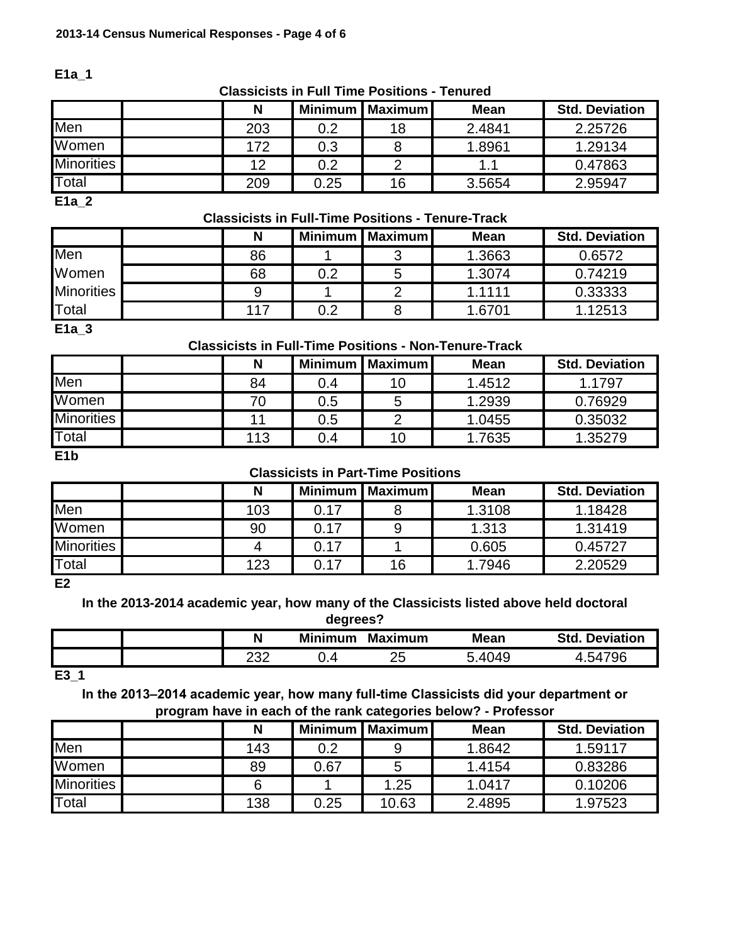**E1a\_1**

#### **Classicists in Full Time Positions - Tenured**

|                   | N   |      | Minimum   Maximum | <b>Mean</b> | <b>Std. Deviation</b> |
|-------------------|-----|------|-------------------|-------------|-----------------------|
| Men               | 203 | 0.2  | 18                | 2.4841      | 2.25726               |
| Women             | 172 | 0.3  |                   | 1.8961      | 1.29134               |
| <b>Minorities</b> | 12  | 0.2  |                   |             | 0.47863               |
| Total             | 209 | 0.25 | 16                | 3.5654      | 2.95947               |

**E1a\_2**

# **Classicists in Full-Time Positions - Tenure-Track**

|                   | N   |     | Minimum   Maximum | <b>Mean</b> | <b>Std. Deviation</b> |
|-------------------|-----|-----|-------------------|-------------|-----------------------|
| Men               | 86  |     | ◠                 | 1.3663      | 0.6572                |
| Women             | 68  | 0.2 | 5                 | 1.3074      | 0.74219               |
| <b>Minorities</b> |     |     | ◠                 | 1.1111      | 0.33333               |
| Total             | 117 | 0.2 |                   | 1.6701      | 1.12513               |
| E1a 3             |     |     |                   |             |                       |

# **Classicists in Full-Time Positions - Non-Tenure-Track**

| N   | <b>Minimum</b> |    | <b>Mean</b> | <b>Std. Deviation</b> |
|-----|----------------|----|-------------|-----------------------|
| 84  | 0.4            | 10 | 1.4512      | 1.1797                |
|     | 0.5            | с  | 1.2939      | 0.76929               |
|     | 0.5            |    | 1.0455      | 0.35032               |
| 113 | 0.4            | 10 | 1.7635      | 1.35279               |
|     |                |    |             | Maximum               |

**E1b**

## **Classicists in Part-Time Positions**

|                   | N   |      | Minimum   Maximum | <b>Mean</b> | <b>Std. Deviation</b> |
|-------------------|-----|------|-------------------|-------------|-----------------------|
| Men               | 103 | 0.17 |                   | 1.3108      | 1.18428               |
| Women             | 90  | 0.17 |                   | 1.313       | 1.31419               |
| <b>Minorities</b> |     | 0.17 |                   | 0.605       | 0.45727               |
| Total             | 123 | 0.17 | 16                | 1.7946      | 2.20529               |

**E2**

# **In the 2013-2014 academic year, how many of the Classicists listed above held doctoral**

| degrees?                                                               |  |     |     |    |        |         |  |
|------------------------------------------------------------------------|--|-----|-----|----|--------|---------|--|
| <b>Minimum</b><br><b>Std. Deviation</b><br>N<br><b>Maximum</b><br>Mean |  |     |     |    |        |         |  |
|                                                                        |  | າາາ | 4.د | つに | 5.4049 | 4.54796 |  |
| ---                                                                    |  |     |     |    |        |         |  |

**E3\_1**

**In the 2013–2014 academic year, how many full-time Classicists did your department or program have in each of the rank categories below? - Professor**

|                   | N   | <b>Minimum</b> | l Maximum <b>I</b> | Mean   | <b>Std. Deviation</b> |
|-------------------|-----|----------------|--------------------|--------|-----------------------|
| Men               | 143 | 0.2            | 9                  | 1.8642 | 1.59117               |
| Women             | 89  | 0.67           | O                  | 1.4154 | 0.83286               |
| <b>Minorities</b> |     |                | 1.25               | 1.0417 | 0.10206               |
| Total             | 138 | 0.25           | 10.63              | 2.4895 | 1.97523               |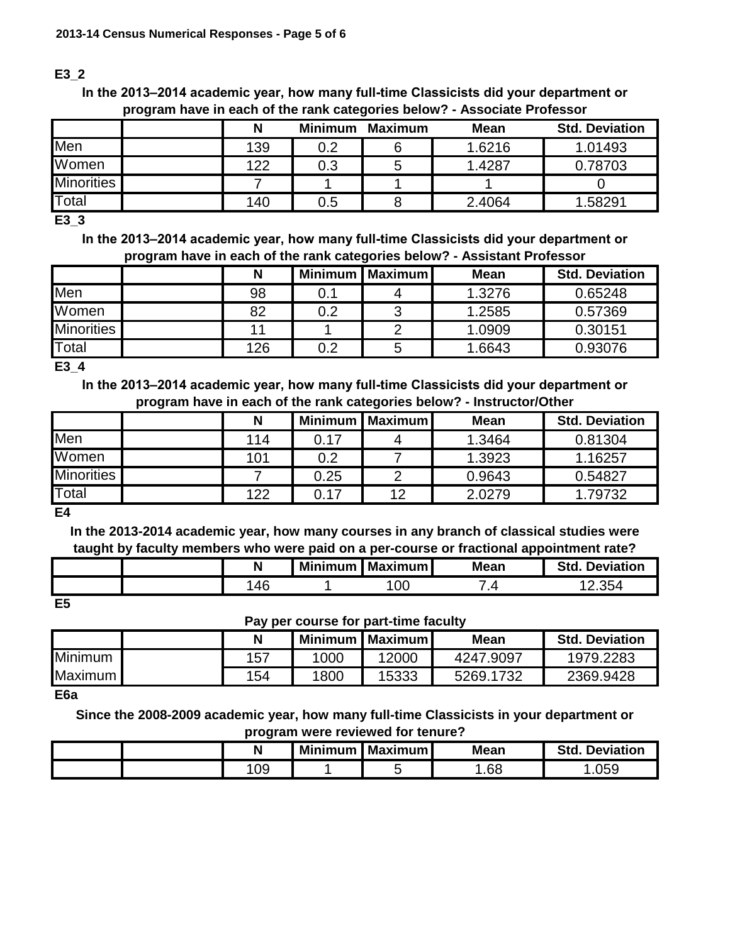# **E3\_2**

**In the 2013–2014 academic year, how many full-time Classicists did your department or program have in each of the rank categories below? - Associate Professor**

|                   |     | <b>Minimum</b> | <b>Maximum</b> | <b>Mean</b> | <b>Std. Deviation</b> |
|-------------------|-----|----------------|----------------|-------------|-----------------------|
| Men               | 139 | 0.2            |                | 1.6216      | 1.01493               |
| Women             | 122 | 0.3            |                | 1.4287      | 0.78703               |
| <b>Minorities</b> |     |                |                |             |                       |
| Total             | 140 | 0.5            |                | 2.4064      | 1.58291               |

**E3\_3**

**In the 2013–2014 academic year, how many full-time Classicists did your department or program have in each of the rank categories below? - Assistant Professor**

|                   | N   |     | Minimum   Maximum | <b>Mean</b> | <b>Std. Deviation</b> |
|-------------------|-----|-----|-------------------|-------------|-----------------------|
| Men               | 98  | 0.1 |                   | 1.3276      | 0.65248               |
| Women             | 82  | 0.2 | ົ                 | 1.2585      | 0.57369               |
| <b>Minorities</b> |     |     |                   | 1.0909      | 0.30151               |
| Total             | 126 | 0.2 |                   | 1.6643      | 0.93076               |

**E3\_4**

**In the 2013–2014 academic year, how many full-time Classicists did your department or program have in each of the rank categories below? - Instructor/Other**

|                   |     | <b>Minimum</b> | l Maximum l | <b>Mean</b> | <b>Std. Deviation</b> |
|-------------------|-----|----------------|-------------|-------------|-----------------------|
| Men               | 114 | 0.17           |             | 1.3464      | 0.81304               |
| Women             | 101 | 0.2            |             | 1.3923      | 1.16257               |
| <b>Minorities</b> |     | 0.25           |             | 0.9643      | 0.54827               |
| Total             | 122 | 0.17           | 12          | 2.0279      | 1.79732               |

**E4**

**In the 2013-2014 academic year, how many courses in any branch of classical studies were taught by faculty members who were paid on a per-course or fractional appointment rate?**

|          | <b>Minimum</b> | <b>I</b> Maximum <b>I</b> | <b>Mean</b> | Std<br><b>Deviation</b> |
|----------|----------------|---------------------------|-------------|-------------------------|
| ЛF<br>90 |                | 00                        | . 4         | $\angle .354$           |

**E5**

# **Pay per course for part-time faculty**

|                |     |      | Minimum   Maximum | Mean      | <b>Std. Deviation</b> |
|----------------|-----|------|-------------------|-----------|-----------------------|
| Minimum        | 157 | ,000 | 12000             | 4247.9097 | 1979.2283             |
| <b>Maximum</b> | 154 | 1800 | 15333             | 5269.1732 | 2369.9428             |

**E6a**

**Since the 2008-2009 academic year, how many full-time Classicists in your department or program were reviewed for tenure?**

|  | $\blacksquare$<br>. . | Minimum I | I Maximum I | <b>Mean</b> | Std.<br><b>Deviation</b> |
|--|-----------------------|-----------|-------------|-------------|--------------------------|
|  | 09                    |           |             | .68         | .059                     |